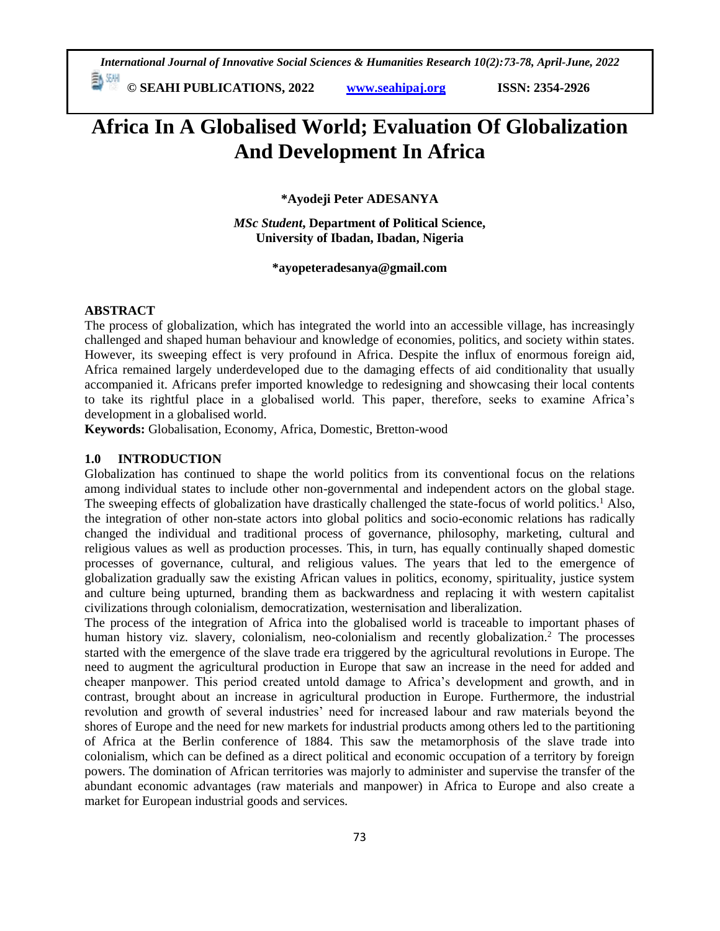*International Journal of Innovative Social Sciences & Humanities Research 10(2):73-78, April-June, 2022*  **© SEAHI PUBLICATIONS, 2022 [www.seahipaj.org](http://www.seahipaj.org/) ISSN: 2354-2926** 

# **Africa In A Globalised World; Evaluation Of Globalization And Development In Africa**

**\*Ayodeji Peter ADESANYA**

*MSc Student***, Department of Political Science, University of Ibadan, Ibadan, Nigeria**

**\*ayopeteradesanya@gmail.com**

## **ABSTRACT**

The process of globalization, which has integrated the world into an accessible village, has increasingly challenged and shaped human behaviour and knowledge of economies, politics, and society within states. However, its sweeping effect is very profound in Africa. Despite the influx of enormous foreign aid, Africa remained largely underdeveloped due to the damaging effects of aid conditionality that usually accompanied it. Africans prefer imported knowledge to redesigning and showcasing their local contents to take its rightful place in a globalised world. This paper, therefore, seeks to examine Africa's development in a globalised world.

**Keywords:** Globalisation, Economy, Africa, Domestic, Bretton-wood

## **1.0 INTRODUCTION**

Globalization has continued to shape the world politics from its conventional focus on the relations among individual states to include other non-governmental and independent actors on the global stage. The sweeping effects of globalization have drastically challenged the state-focus of world politics.<sup>1</sup> Also, the integration of other non-state actors into global politics and socio-economic relations has radically changed the individual and traditional process of governance, philosophy, marketing, cultural and religious values as well as production processes. This, in turn, has equally continually shaped domestic processes of governance, cultural, and religious values. The years that led to the emergence of globalization gradually saw the existing African values in politics, economy, spirituality, justice system and culture being upturned, branding them as backwardness and replacing it with western capitalist civilizations through colonialism, democratization, westernisation and liberalization.

The process of the integration of Africa into the globalised world is traceable to important phases of human history viz. slavery, colonialism, neo-colonialism and recently globalization.<sup>2</sup> The processes started with the emergence of the slave trade era triggered by the agricultural revolutions in Europe. The need to augment the agricultural production in Europe that saw an increase in the need for added and cheaper manpower. This period created untold damage to Africa's development and growth, and in contrast, brought about an increase in agricultural production in Europe. Furthermore, the industrial revolution and growth of several industries' need for increased labour and raw materials beyond the shores of Europe and the need for new markets for industrial products among others led to the partitioning of Africa at the Berlin conference of 1884. This saw the metamorphosis of the slave trade into colonialism, which can be defined as a direct political and economic occupation of a territory by foreign powers. The domination of African territories was majorly to administer and supervise the transfer of the abundant economic advantages (raw materials and manpower) in Africa to Europe and also create a market for European industrial goods and services.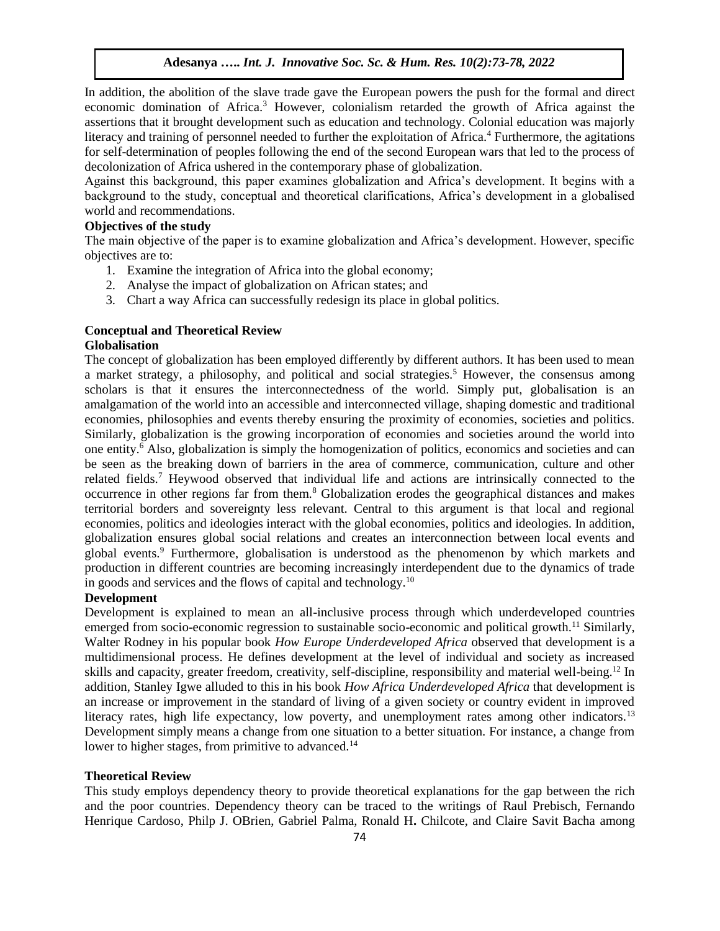In addition, the abolition of the slave trade gave the European powers the push for the formal and direct economic domination of Africa.<sup>3</sup> However, colonialism retarded the growth of Africa against the assertions that it brought development such as education and technology. Colonial education was majorly literacy and training of personnel needed to further the exploitation of Africa.<sup>4</sup> Furthermore, the agitations for self-determination of peoples following the end of the second European wars that led to the process of decolonization of Africa ushered in the contemporary phase of globalization.

Against this background, this paper examines globalization and Africa's development. It begins with a background to the study, conceptual and theoretical clarifications, Africa's development in a globalised world and recommendations.

# **Objectives of the study**

The main objective of the paper is to examine globalization and Africa's development. However, specific objectives are to:

- 1. Examine the integration of Africa into the global economy;
- 2. Analyse the impact of globalization on African states; and
- 3. Chart a way Africa can successfully redesign its place in global politics.

#### **Conceptual and Theoretical Review Globalisation**

The concept of globalization has been employed differently by different authors. It has been used to mean a market strategy, a philosophy, and political and social strategies.<sup>5</sup> However, the consensus among scholars is that it ensures the interconnectedness of the world. Simply put, globalisation is an amalgamation of the world into an accessible and interconnected village, shaping domestic and traditional economies, philosophies and events thereby ensuring the proximity of economies, societies and politics. Similarly, globalization is the growing incorporation of economies and societies around the world into one entity.<sup>6</sup> Also, globalization is simply the homogenization of politics, economics and societies and can be seen as the breaking down of barriers in the area of commerce, communication, culture and other related fields.<sup>7</sup> Heywood observed that individual life and actions are intrinsically connected to the occurrence in other regions far from them.<sup>8</sup> Globalization erodes the geographical distances and makes territorial borders and sovereignty less relevant. Central to this argument is that local and regional economies, politics and ideologies interact with the global economies, politics and ideologies. In addition, globalization ensures global social relations and creates an interconnection between local events and global events.<sup>9</sup> Furthermore, globalisation is understood as the phenomenon by which markets and production in different countries are becoming increasingly interdependent due to the dynamics of trade in goods and services and the flows of capital and technology.<sup>10</sup>

# **Development**

Development is explained to mean an all-inclusive process through which underdeveloped countries emerged from socio-economic regression to sustainable socio-economic and political growth.<sup>11</sup> Similarly, Walter Rodney in his popular book *How Europe Underdeveloped Africa* observed that development is a multidimensional process. He defines development at the level of individual and society as increased skills and capacity, greater freedom, creativity, self-discipline, responsibility and material well-being.<sup>12</sup> In addition, Stanley Igwe alluded to this in his book *How Africa Underdeveloped Africa* that development is an increase or improvement in the standard of living of a given society or country evident in improved literacy rates, high life expectancy, low poverty, and unemployment rates among other indicators.<sup>13</sup> Development simply means a change from one situation to a better situation. For instance, a change from lower to higher stages, from primitive to advanced.<sup>14</sup>

### **Theoretical Review**

This study employs dependency theory to provide theoretical explanations for the gap between the rich and the poor countries. Dependency theory can be traced to the writings of Raul Prebisch, Fernando Henrique Cardoso, Philp J. OBrien, Gabriel Palma, Ronald H**.** Chilcote, and Claire Savit Bacha among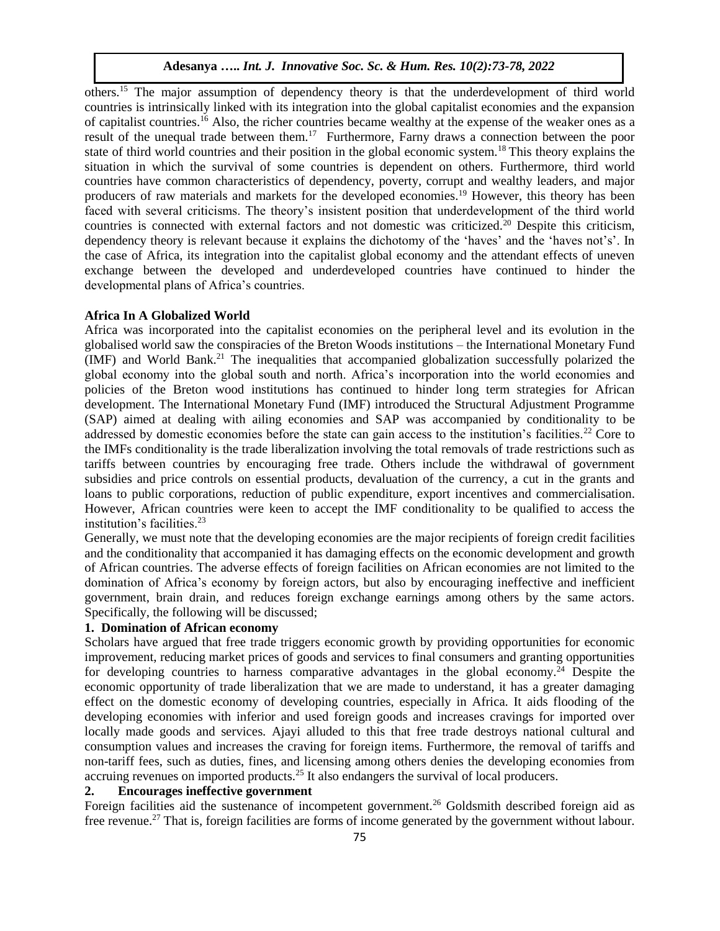others.<sup>15</sup> The major assumption of dependency theory is that the underdevelopment of third world countries is intrinsically linked with its integration into the global capitalist economies and the expansion of capitalist countries.<sup>16</sup> Also, the richer countries became wealthy at the expense of the weaker ones as a result of the unequal trade between them.<sup>17</sup> Furthermore, Farny draws a connection between the poor state of third world countries and their position in the global economic system.<sup>18</sup>This theory explains the situation in which the survival of some countries is dependent on others. Furthermore, third world countries have common characteristics of dependency, poverty, corrupt and wealthy leaders, and major producers of raw materials and markets for the developed economies.<sup>19</sup> However, this theory has been faced with several criticisms. The theory's insistent position that underdevelopment of the third world countries is connected with external factors and not domestic was criticized.<sup>20</sup> Despite this criticism, dependency theory is relevant because it explains the dichotomy of the 'haves' and the 'haves not's'. In the case of Africa, its integration into the capitalist global economy and the attendant effects of uneven exchange between the developed and underdeveloped countries have continued to hinder the developmental plans of Africa's countries.

#### **Africa In A Globalized World**

Africa was incorporated into the capitalist economies on the peripheral level and its evolution in the globalised world saw the conspiracies of the Breton Woods institutions – the International Monetary Fund (IMF) and World Bank.<sup>21</sup> The inequalities that accompanied globalization successfully polarized the global economy into the global south and north. Africa's incorporation into the world economies and policies of the Breton wood institutions has continued to hinder long term strategies for African development. The International Monetary Fund (IMF) introduced the Structural Adjustment Programme (SAP) aimed at dealing with ailing economies and SAP was accompanied by conditionality to be addressed by domestic economies before the state can gain access to the institution's facilities.<sup>22</sup> Core to the IMFs conditionality is the trade liberalization involving the total removals of trade restrictions such as tariffs between countries by encouraging free trade. Others include the withdrawal of government subsidies and price controls on essential products, devaluation of the currency, a cut in the grants and loans to public corporations, reduction of public expenditure, export incentives and commercialisation. However, African countries were keen to accept the IMF conditionality to be qualified to access the institution's facilities.<sup>23</sup>

Generally, we must note that the developing economies are the major recipients of foreign credit facilities and the conditionality that accompanied it has damaging effects on the economic development and growth of African countries. The adverse effects of foreign facilities on African economies are not limited to the domination of Africa's economy by foreign actors, but also by encouraging ineffective and inefficient government, brain drain, and reduces foreign exchange earnings among others by the same actors. Specifically, the following will be discussed;

# **1. Domination of African economy**

Scholars have argued that free trade triggers economic growth by providing opportunities for economic improvement, reducing market prices of goods and services to final consumers and granting opportunities for developing countries to harness comparative advantages in the global economy.<sup>24</sup> Despite the economic opportunity of trade liberalization that we are made to understand, it has a greater damaging effect on the domestic economy of developing countries, especially in Africa. It aids flooding of the developing economies with inferior and used foreign goods and increases cravings for imported over locally made goods and services. Ajayi alluded to this that free trade destroys national cultural and consumption values and increases the craving for foreign items. Furthermore, the removal of tariffs and non-tariff fees, such as duties, fines, and licensing among others denies the developing economies from accruing revenues on imported products.<sup>25</sup> It also endangers the survival of local producers.

# **2. Encourages ineffective government**

Foreign facilities aid the sustenance of incompetent government.<sup>26</sup> Goldsmith described foreign aid as free revenue.<sup>27</sup> That is, foreign facilities are forms of income generated by the government without labour.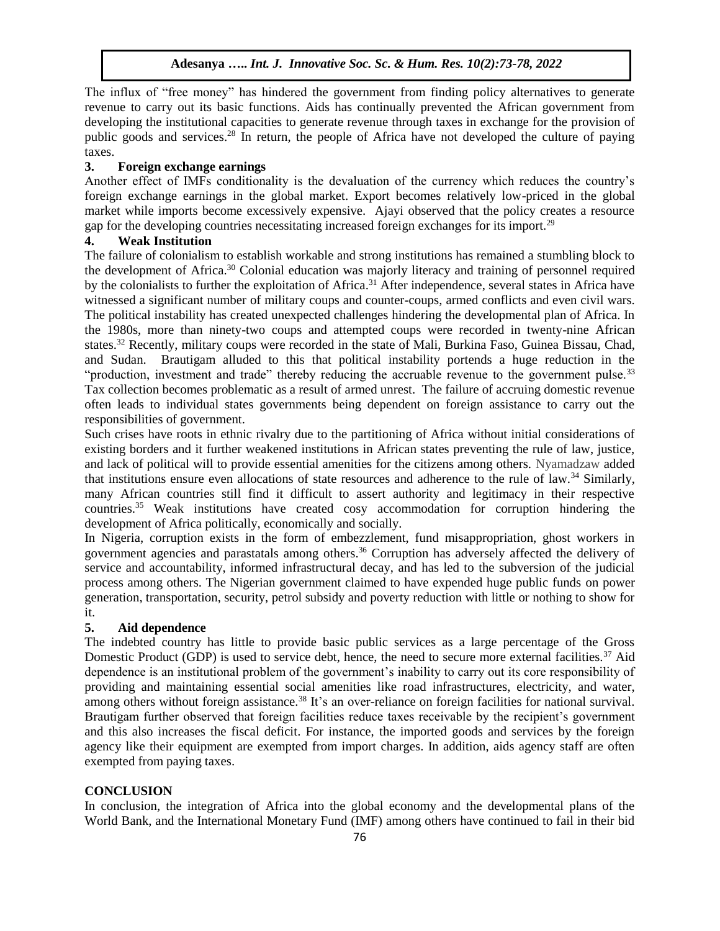The influx of "free money" has hindered the government from finding policy alternatives to generate revenue to carry out its basic functions. Aids has continually prevented the African government from developing the institutional capacities to generate revenue through taxes in exchange for the provision of public goods and services.<sup>28</sup> In return, the people of Africa have not developed the culture of paying taxes.

# **3. Foreign exchange earnings**

Another effect of IMFs conditionality is the devaluation of the currency which reduces the country's foreign exchange earnings in the global market. Export becomes relatively low-priced in the global market while imports become excessively expensive. Ajayi observed that the policy creates a resource gap for the developing countries necessitating increased foreign exchanges for its import.<sup>29</sup>

# **4. Weak Institution**

The failure of colonialism to establish workable and strong institutions has remained a stumbling block to the development of Africa.<sup>30</sup> Colonial education was majorly literacy and training of personnel required by the colonialists to further the exploitation of Africa.<sup>31</sup> After independence, several states in Africa have witnessed a significant number of military coups and counter-coups, armed conflicts and even civil wars. The political instability has created unexpected challenges hindering the developmental plan of Africa. In the 1980s, more than ninety-two coups and attempted coups were recorded in twenty-nine African states.<sup>32</sup> Recently, military coups were recorded in the state of Mali, Burkina Faso, Guinea Bissau, Chad, and Sudan. Brautigam alluded to this that political instability portends a huge reduction in the "production, investment and trade" thereby reducing the accruable revenue to the government pulse.<sup>33</sup> Tax collection becomes problematic as a result of armed unrest. The failure of accruing domestic revenue often leads to individual states governments being dependent on foreign assistance to carry out the responsibilities of government.

Such crises have roots in ethnic rivalry due to the partitioning of Africa without initial considerations of existing borders and it further weakened institutions in African states preventing the rule of law, justice, and lack of political will to provide essential amenities for the citizens among others. Nyamadzaw added that institutions ensure even allocations of state resources and adherence to the rule of law.<sup>34</sup> Similarly, many African countries still find it difficult to assert authority and legitimacy in their respective countries.<sup>35</sup> Weak institutions have created cosy accommodation for corruption hindering the development of Africa politically, economically and socially.

In Nigeria, corruption exists in the form of embezzlement, fund misappropriation, ghost workers in government agencies and parastatals among others.<sup>36</sup> Corruption has adversely affected the delivery of service and accountability, informed infrastructural decay, and has led to the subversion of the judicial process among others. The Nigerian government claimed to have expended huge public funds on power generation, transportation, security, petrol subsidy and poverty reduction with little or nothing to show for it.

# **5. Aid dependence**

The indebted country has little to provide basic public services as a large percentage of the Gross Domestic Product (GDP) is used to service debt, hence, the need to secure more external facilities.<sup>37</sup> Aid dependence is an institutional problem of the government's inability to carry out its core responsibility of providing and maintaining essential social amenities like road infrastructures, electricity, and water, among others without foreign assistance.<sup>38</sup> It's an over-reliance on foreign facilities for national survival. Brautigam further observed that foreign facilities reduce taxes receivable by the recipient's government and this also increases the fiscal deficit. For instance, the imported goods and services by the foreign agency like their equipment are exempted from import charges. In addition, aids agency staff are often exempted from paying taxes.

# **CONCLUSION**

In conclusion, the integration of Africa into the global economy and the developmental plans of the World Bank, and the International Monetary Fund (IMF) among others have continued to fail in their bid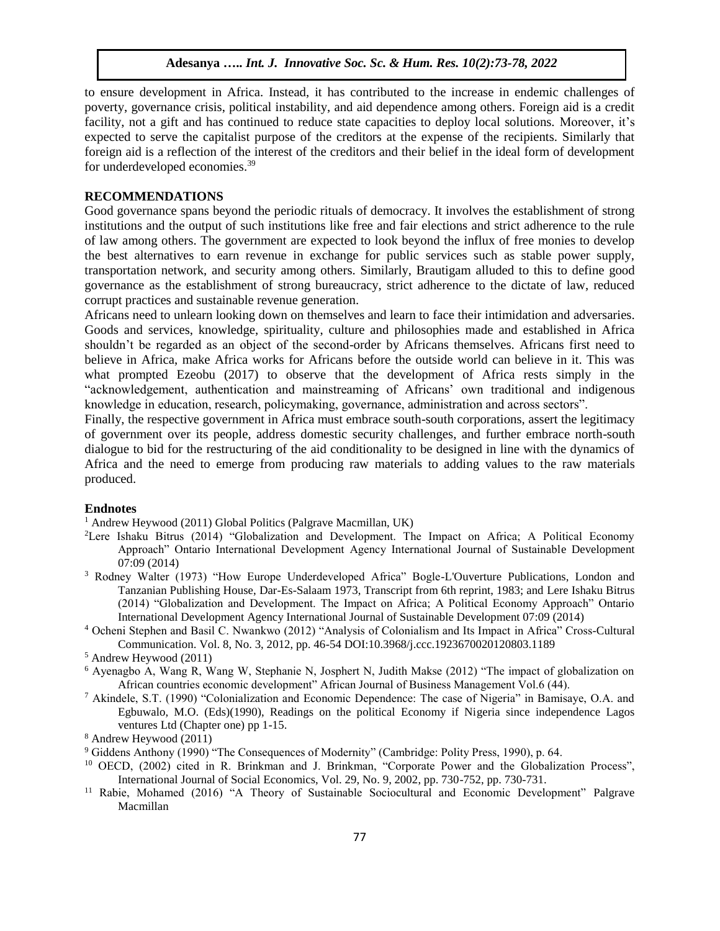to ensure development in Africa. Instead, it has contributed to the increase in endemic challenges of poverty, governance crisis, political instability, and aid dependence among others. Foreign aid is a credit facility, not a gift and has continued to reduce state capacities to deploy local solutions. Moreover, it's expected to serve the capitalist purpose of the creditors at the expense of the recipients. Similarly that foreign aid is a reflection of the interest of the creditors and their belief in the ideal form of development for underdeveloped economies.<sup>39</sup>

# **RECOMMENDATIONS**

Good governance spans beyond the periodic rituals of democracy. It involves the establishment of strong institutions and the output of such institutions like free and fair elections and strict adherence to the rule of law among others. The government are expected to look beyond the influx of free monies to develop the best alternatives to earn revenue in exchange for public services such as stable power supply, transportation network, and security among others. Similarly, Brautigam alluded to this to define good governance as the establishment of strong bureaucracy, strict adherence to the dictate of law, reduced corrupt practices and sustainable revenue generation.

Africans need to unlearn looking down on themselves and learn to face their intimidation and adversaries. Goods and services, knowledge, spirituality, culture and philosophies made and established in Africa shouldn't be regarded as an object of the second-order by Africans themselves. Africans first need to believe in Africa, make Africa works for Africans before the outside world can believe in it. This was what prompted Ezeobu (2017) to observe that the development of Africa rests simply in the "acknowledgement, authentication and mainstreaming of Africans' own traditional and indigenous knowledge in education, research, policymaking, governance, administration and across sectors".

Finally, the respective government in Africa must embrace south-south corporations, assert the legitimacy of government over its people, address domestic security challenges, and further embrace north-south dialogue to bid for the restructuring of the aid conditionality to be designed in line with the dynamics of Africa and the need to emerge from producing raw materials to adding values to the raw materials produced.

#### **Endnotes**

<sup>1</sup> Andrew Heywood (2011) Global Politics (Palgrave Macmillan, UK)

- <sup>2</sup>Lere Ishaku Bitrus (2014) "Globalization and Development. The Impact on Africa; A Political Economy Approach" Ontario International Development Agency International Journal of Sustainable Development 07:09 (2014)
- <sup>3</sup> Rodney Walter (1973) "How Europe Underdeveloped Africa" Bogle-L'Ouverture Publications, London and Tanzanian Publishing House, Dar-Es-Salaam 1973, Transcript from 6th reprint, 1983; and Lere Ishaku Bitrus (2014) "Globalization and Development. The Impact on Africa; A Political Economy Approach" Ontario International Development Agency International Journal of Sustainable Development 07:09 (2014)
- <sup>4</sup> Ocheni Stephen and Basil C. Nwankwo (2012) "Analysis of Colonialism and Its Impact in Africa" Cross-Cultural Communication. Vol. 8, No. 3, 2012, pp. 46-54 DOI:10.3968/j.ccc.1923670020120803.1189

- <sup>6</sup> Ayenagbo A, Wang R, Wang W, Stephanie N, Josphert N, Judith Makse (2012) "The impact of globalization on African countries economic development" African Journal of Business Management Vol.6 (44).
- <sup>7</sup> Akindele, S.T. (1990) "Colonialization and Economic Dependence: The case of Nigeria" in Bamisaye, O.A. and Egbuwalo, M.O. (Eds)(1990), Readings on the political Economy if Nigeria since independence Lagos ventures Ltd (Chapter one) pp 1-15.

<sup>8</sup> Andrew Heywood (2011)

- <sup>9</sup> Giddens Anthony (1990) "The Consequences of Modernity" (Cambridge: Polity Press, 1990), p. 64.
- <sup>10</sup> OECD, (2002) cited in R. Brinkman and J. Brinkman, "Corporate Power and the Globalization Process", International Journal of Social Economics, Vol. 29, No. 9, 2002, pp. 730-752, pp. 730-731.
- <sup>11</sup> Rabie, Mohamed (2016) "A Theory of Sustainable Sociocultural and Economic Development" Palgrave Macmillan

<sup>5</sup> Andrew Heywood (2011)